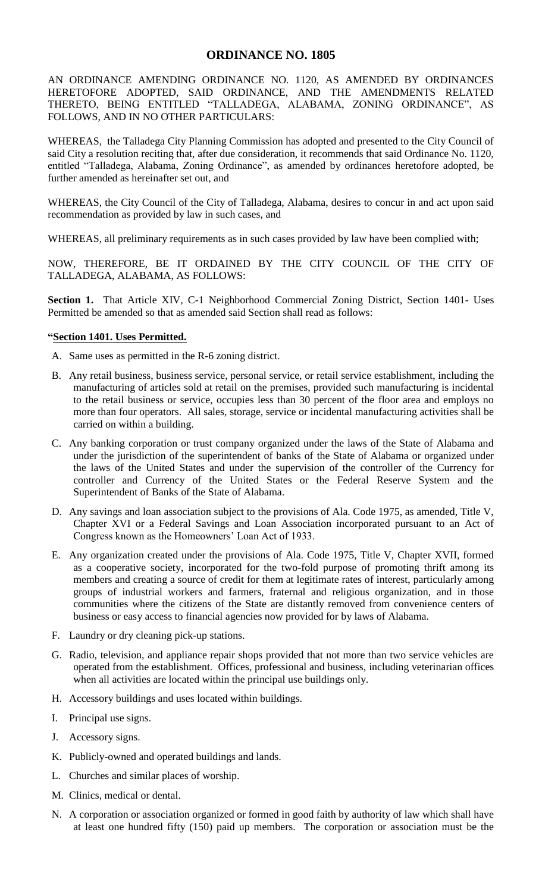## **ORDINANCE NO. 1805**

AN ORDINANCE AMENDING ORDINANCE NO. 1120, AS AMENDED BY ORDINANCES HERETOFORE ADOPTED, SAID ORDINANCE, AND THE AMENDMENTS RELATED THERETO, BEING ENTITLED "TALLADEGA, ALABAMA, ZONING ORDINANCE", AS FOLLOWS, AND IN NO OTHER PARTICULARS:

WHEREAS, the Talladega City Planning Commission has adopted and presented to the City Council of said City a resolution reciting that, after due consideration, it recommends that said Ordinance No. 1120, entitled "Talladega, Alabama, Zoning Ordinance", as amended by ordinances heretofore adopted, be further amended as hereinafter set out, and

WHEREAS, the City Council of the City of Talladega, Alabama, desires to concur in and act upon said recommendation as provided by law in such cases, and

WHEREAS, all preliminary requirements as in such cases provided by law have been complied with;

NOW, THEREFORE, BE IT ORDAINED BY THE CITY COUNCIL OF THE CITY OF TALLADEGA, ALABAMA, AS FOLLOWS:

Section 1. That Article XIV, C-1 Neighborhood Commercial Zoning District, Section 1401- Uses Permitted be amended so that as amended said Section shall read as follows:

## **"Section 1401. Uses Permitted.**

- A. Same uses as permitted in the R-6 zoning district.
- B. Any retail business, business service, personal service, or retail service establishment, including the manufacturing of articles sold at retail on the premises, provided such manufacturing is incidental to the retail business or service, occupies less than 30 percent of the floor area and employs no more than four operators. All sales, storage, service or incidental manufacturing activities shall be carried on within a building.
- C. Any banking corporation or trust company organized under the laws of the State of Alabama and under the jurisdiction of the superintendent of banks of the State of Alabama or organized under the laws of the United States and under the supervision of the controller of the Currency for controller and Currency of the United States or the Federal Reserve System and the Superintendent of Banks of the State of Alabama.
- D. Any savings and loan association subject to the provisions of Ala. Code 1975, as amended, Title V, Chapter XVI or a Federal Savings and Loan Association incorporated pursuant to an Act of Congress known as the Homeowners' Loan Act of 1933.
- E. Any organization created under the provisions of Ala. Code 1975, Title V, Chapter XVII, formed as a cooperative society, incorporated for the two-fold purpose of promoting thrift among its members and creating a source of credit for them at legitimate rates of interest, particularly among groups of industrial workers and farmers, fraternal and religious organization, and in those communities where the citizens of the State are distantly removed from convenience centers of business or easy access to financial agencies now provided for by laws of Alabama.
- F. Laundry or dry cleaning pick-up stations.
- G. Radio, television, and appliance repair shops provided that not more than two service vehicles are operated from the establishment. Offices, professional and business, including veterinarian offices when all activities are located within the principal use buildings only.
- H. Accessory buildings and uses located within buildings.
- I. Principal use signs.
- J. Accessory signs.
- K. Publicly-owned and operated buildings and lands.
- L. Churches and similar places of worship.
- M. Clinics, medical or dental.
- N. A corporation or association organized or formed in good faith by authority of law which shall have at least one hundred fifty (150) paid up members. The corporation or association must be the